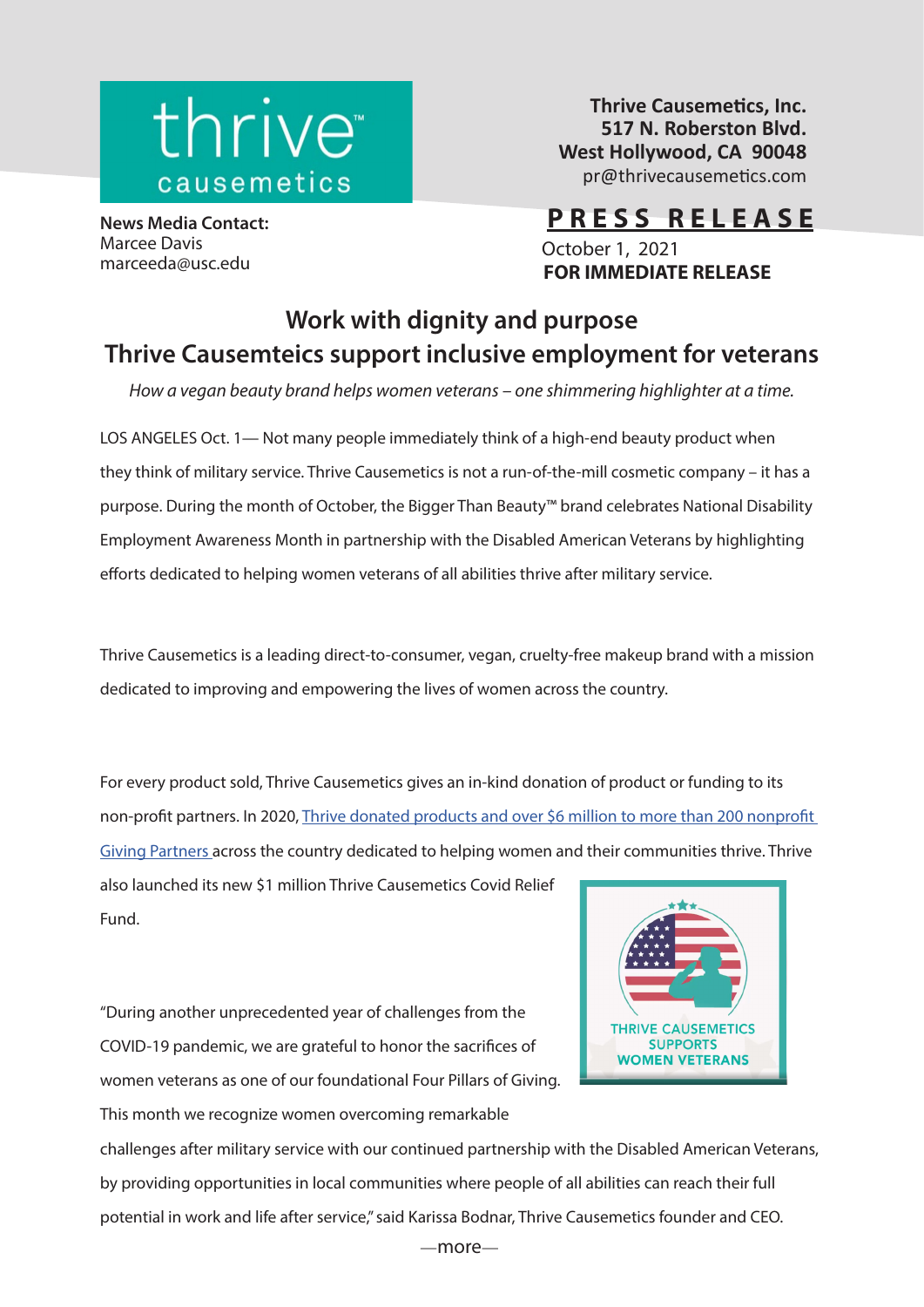

**Thrive Causemetics, Inc. 517 N. Roberston Blvd. West Hollywood, CA 90048** pr@thrivecausemetics.com

**News Media Contact:** Marcee Davis marceeda@usc.edu

**PRESS RELEASE** October 1, 2021  **FOR IMMEDIATE RELEASE**

## **Work with dignity and purpose Thrive Causemteics support inclusive employment for veterans**

*How a vegan beauty brand helps women veterans – one shimmering highlighter at a time.*

LOS ANGELES Oct. 1— Not many people immediately think of a high-end beauty product when they think of military service. Thrive Causemetics is not a run-of-the-mill cosmetic company – it has a purpose. During the month of October, the Bigger Than Beauty™ brand celebrates National Disability Employment Awareness Month in partnership with the Disabled American Veterans by highlighting efforts dedicated to helping women veterans of all abilities thrive after military service.

Thrive Causemetics is a leading direct-to-consumer, vegan, cruelty-free makeup brand with a mission dedicated to improving and empowering the lives of women across the country.

For every product sold, Thrive Causemetics gives an in-kind donation of product or funding to its non-profit partners. In 2020, Thrive donated products and over \$6 million to more than 200 nonprofit [Giving Partners a](https://thrivecausemetics.com/blogs/blog/bigger-than-beauty-annual-impact-report)cross the country dedicated to helping women and their communities thrive. Thrive

also launched its new \$1 million Thrive Causemetics Covid Relief Fund.

"During another unprecedented year of challenges from the COVID-19 pandemic, we are grateful to honor the sacrifices of women veterans as one of our foundational Four Pillars of Giving.

This month we recognize women overcoming remarkable



challenges after military service with our continued partnership with the Disabled American Veterans, by providing opportunities in local communities where people of all abilities can reach their full potential in work and life after service," said Karissa Bodnar, Thrive Causemetics founder and CEO.